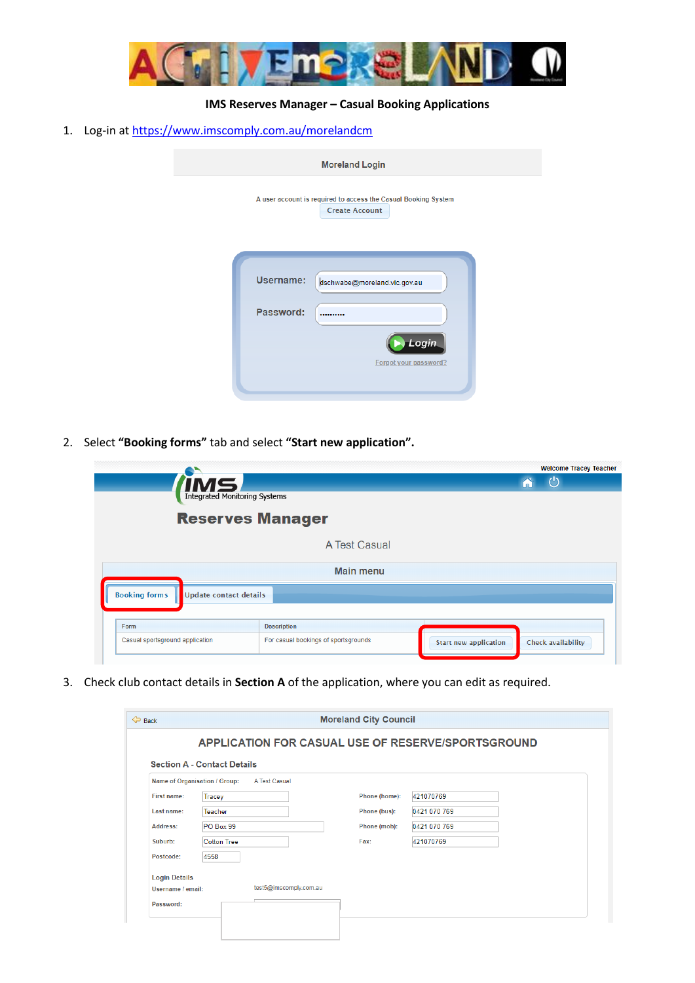

## **IMS Reserves Manager – Casual Booking Applications**

1. Log-in at <https://www.imscomply.com.au/morelandcm>

| <b>Moreland Login</b> |                                                                                                 |  |
|-----------------------|-------------------------------------------------------------------------------------------------|--|
|                       | A user account is required to access the Casual Booking System<br><b>Create Account</b>         |  |
|                       | <b>Username:</b><br>dschwabe@moreland.vic.gov.au<br>Password:<br>Login<br>Forgot your password? |  |
|                       |                                                                                                 |  |

2. Select **"Booking forms"** tab and select **"Start new application".**

|                                                       |                                      |                              | <b>Welcome Tracey Teacher</b> |  |  |
|-------------------------------------------------------|--------------------------------------|------------------------------|-------------------------------|--|--|
| <b>MS</b>                                             |                                      |                              | $\langle$ <sup>1</sup> )      |  |  |
| <b>Integrated Monitoring Systems</b>                  |                                      |                              |                               |  |  |
| <b>Reserves Manager</b>                               |                                      |                              |                               |  |  |
|                                                       | A Test Casual                        |                              |                               |  |  |
| <b>Main menu</b>                                      |                                      |                              |                               |  |  |
| <b>Booking forms</b><br><b>Update contact details</b> |                                      |                              |                               |  |  |
|                                                       |                                      |                              |                               |  |  |
| Form                                                  | <b>Description</b>                   |                              |                               |  |  |
| Casual sportsground application                       | For casual bookings of sportsgrounds | <b>Start new application</b> | Check availability            |  |  |
|                                                       |                                      |                              |                               |  |  |

3. Check club contact details in **Section A** of the application, where you can edit as required.

| $\Leftrightarrow$ Back                                    |                                    | <b>Moreland City Council</b> |              |
|-----------------------------------------------------------|------------------------------------|------------------------------|--------------|
| <b>APPLICATION FOR CASUAL USE OF RESERVE/SPORTSGROUND</b> |                                    |                              |              |
|                                                           | <b>Section A - Contact Details</b> |                              |              |
| Name of Organisation / Group:<br>A Test Casual            |                                    |                              |              |
| First name:                                               | <b>Tracey</b>                      | Phone (home):                | 421070769    |
| Last name:                                                | Teacher                            | Phone (bus):                 | 0421 070 769 |
| Address:                                                  | PO Box 99                          | Phone (mob):                 | 0421 070 769 |
| Suburb:                                                   | <b>Cotton Tree</b>                 | Fax:                         | 421070769    |
| Postcode:                                                 | 4558                               |                              |              |
| <b>Login Details</b>                                      |                                    |                              |              |
| Username / email:                                         | test5@imscomply.com.au             |                              |              |
| Password:                                                 |                                    |                              |              |
|                                                           |                                    |                              |              |
|                                                           |                                    |                              |              |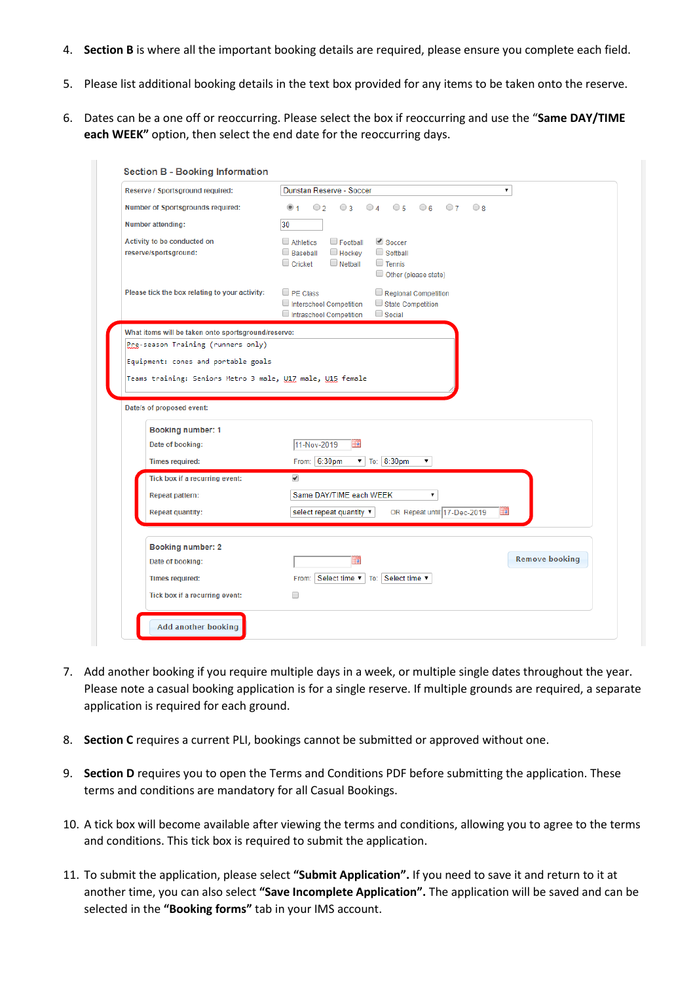- 4. **Section B** is where all the important booking details are required, please ensure you complete each field.
- 5. Please list additional booking details in the text box provided for any items to be taken onto the reserve.
- 6. Dates can be a one off or reoccurring. Please select the box if reoccurring and use the "**Same DAY/TIME each WEEK"** option, then select the end date for the reoccurring days.

| Reserve / Sportsground required:                                                        | Dunstan Reserve - Soccer<br>۷.                                                                                                                                             |
|-----------------------------------------------------------------------------------------|----------------------------------------------------------------------------------------------------------------------------------------------------------------------------|
| Number of Sportsgrounds required:                                                       | ◉ 1<br>$\circ$ 2<br>$\bigcirc$ 3<br>$04 \t 05 \t 06 \t 07 \t 08$                                                                                                           |
| Number attending:                                                                       | 30                                                                                                                                                                         |
| Activity to be conducted on<br>reserve/sportsground:                                    | $\Box$ Athletics<br>$\Box$ Football<br>Soccer<br><b>Baseball</b><br>Hockey<br>$\Box$ Softball<br>$\Box$ Cricket<br>$\Box$ Netball<br>$\Box$ Tennis<br>Other (please state) |
| Please tick the box relating to your activity:                                          | $\Box$ PE Class<br>Regional Competition<br>Interschool Competition<br>State Competition<br>Intraschool Competition<br>$\Box$ Social                                        |
| What items will be taken onto sportsground/reserve:                                     |                                                                                                                                                                            |
| Pre-season Training (runners only)                                                      |                                                                                                                                                                            |
|                                                                                         |                                                                                                                                                                            |
| Teams training: Seniors Metro 3 male, U17 male, U15 female<br>Date/s of proposed event: |                                                                                                                                                                            |
|                                                                                         |                                                                                                                                                                            |
| Booking number: 1<br>Date of booking:                                                   | 11-Nov-2019                                                                                                                                                                |
| <b>Times required:</b>                                                                  | From: 6:30pm<br>▼ To: 8:30pm<br>$\pmb{\mathrm{v}}$                                                                                                                         |
| Tick box if a recurring event:                                                          | $\overline{\mathscr{I}}$                                                                                                                                                   |
| <b>Repeat pattern:</b>                                                                  | Same DAY/TIME each WEEK<br>۷.                                                                                                                                              |
| <b>Repeat quantity:</b>                                                                 | OR Repeat until: 17-Dec-2019<br>select repeat quantity                                                                                                                     |
| <b>Booking number: 2</b>                                                                |                                                                                                                                                                            |
| Date of booking:                                                                        | <b>Remove booking</b><br>m                                                                                                                                                 |
| <b>Times required:</b>                                                                  | From: Select time v   To: Select time v                                                                                                                                    |
| Tick box if a recurring event:                                                          | □                                                                                                                                                                          |

- 7. Add another booking if you require multiple days in a week, or multiple single dates throughout the year. Please note a casual booking application is for a single reserve. If multiple grounds are required, a separate application is required for each ground.
- 8. **Section C** requires a current PLI, bookings cannot be submitted or approved without one.
- 9. **Section D** requires you to open the Terms and Conditions PDF before submitting the application. These terms and conditions are mandatory for all Casual Bookings.
- 10. A tick box will become available after viewing the terms and conditions, allowing you to agree to the terms and conditions. This tick box is required to submit the application.
- 11. To submit the application, please select **"Submit Application".** If you need to save it and return to it at another time, you can also select **"Save Incomplete Application".** The application will be saved and can be selected in the **"Booking forms"** tab in your IMS account.